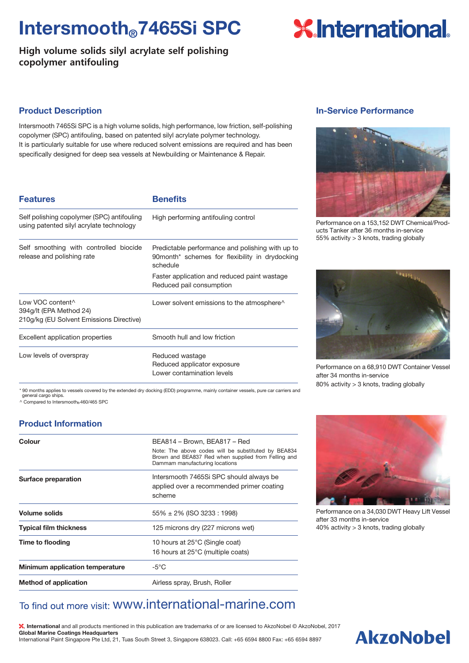## Intersmooth®7465Si SPC

**High volume solids silyl acrylate self polishing copolymer antifouling**

# **X**International.

#### Product Description

Intersmooth 7465Si SPC is a high volume solids, high performance, low friction, self-polishing copolymer (SPC) antifouling, based on patented silyl acrylate polymer technology. It is particularly suitable for use where reduced solvent emissions are required and has been specifically designed for deep sea vessels at Newbuilding or Maintenance & Repair.

| <b>Features</b>                                                                         | <b>Benefits</b>                                                                                                |
|-----------------------------------------------------------------------------------------|----------------------------------------------------------------------------------------------------------------|
| Self polishing copolymer (SPC) antifouling<br>using patented silyl acrylate technology  | High performing antifouling control                                                                            |
| Self smoothing with controlled biocide<br>release and polishing rate                    | Predictable performance and polishing with up to<br>90month* schemes for flexibility in drydocking<br>schedule |
|                                                                                         | Faster application and reduced paint wastage<br>Reduced pail consumption                                       |
| Low VOC content^<br>394g/lt (EPA Method 24)<br>210g/kg (EU Solvent Emissions Directive) | Lower solvent emissions to the atmosphere <sup><math>\wedge</math></sup>                                       |
| Excellent application properties                                                        | Smooth hull and low friction                                                                                   |
| Low levels of overspray                                                                 | Reduced wastage<br>Reduced applicator exposure<br>Lower contamination levels                                   |

In-Service Performance



Performance on a 153,152 DWT Chemical/Products Tanker after 36 months in-service 55% activity > 3 knots, trading globally



Performance on a 68,910 DWT Container Vessel after 34 months in-service 80% activity > 3 knots, trading globally

\* 90 months applies to vessels covered by the extended dry docking (EDD) programme, mainly container vessels, pure car carriers and general cargo ships.

 $\land$  Compared to Intersmooth  $460/465$  SPC

### Product Information

| Colour                          | BEA814 - Brown, BEA817 - Red<br>Note: The above codes will be substituted by BEA834<br>Brown and BEA837 Red when supplied from Felling and<br>Dammam manufacturing locations |
|---------------------------------|------------------------------------------------------------------------------------------------------------------------------------------------------------------------------|
| Surface preparation             | Intersmooth 7465Si SPC should always be<br>applied over a recommended primer coating<br>scheme                                                                               |
| Volume solids                   | $55\% \pm 2\%$ (ISO 3233 : 1998)                                                                                                                                             |
| <b>Typical film thickness</b>   | 125 microns dry (227 microns wet)                                                                                                                                            |
| Time to flooding                | 10 hours at 25°C (Single coat)<br>16 hours at 25°C (multiple coats)                                                                                                          |
| Minimum application temperature | -5°C                                                                                                                                                                         |
| <b>Method of application</b>    | Airless spray, Brush, Roller                                                                                                                                                 |



Performance on a 34,030 DWT Heavy Lift Vessel after 33 months in-service 40% activity > 3 knots, trading globally

### To find out more visit: WWW.international-marine.com

, International and all products mentioned in this publication are trademarks of or are licensed to AkzoNobel © AkzoNobel, 2017 Global Marine Coatings Headquarters International Paint Singapore Pte Ltd, 21, Tuas South Street 3, Singapore 638023. Call: +65 6594 8800 Fax: +65 6594 8897

## **AkzoNobel**